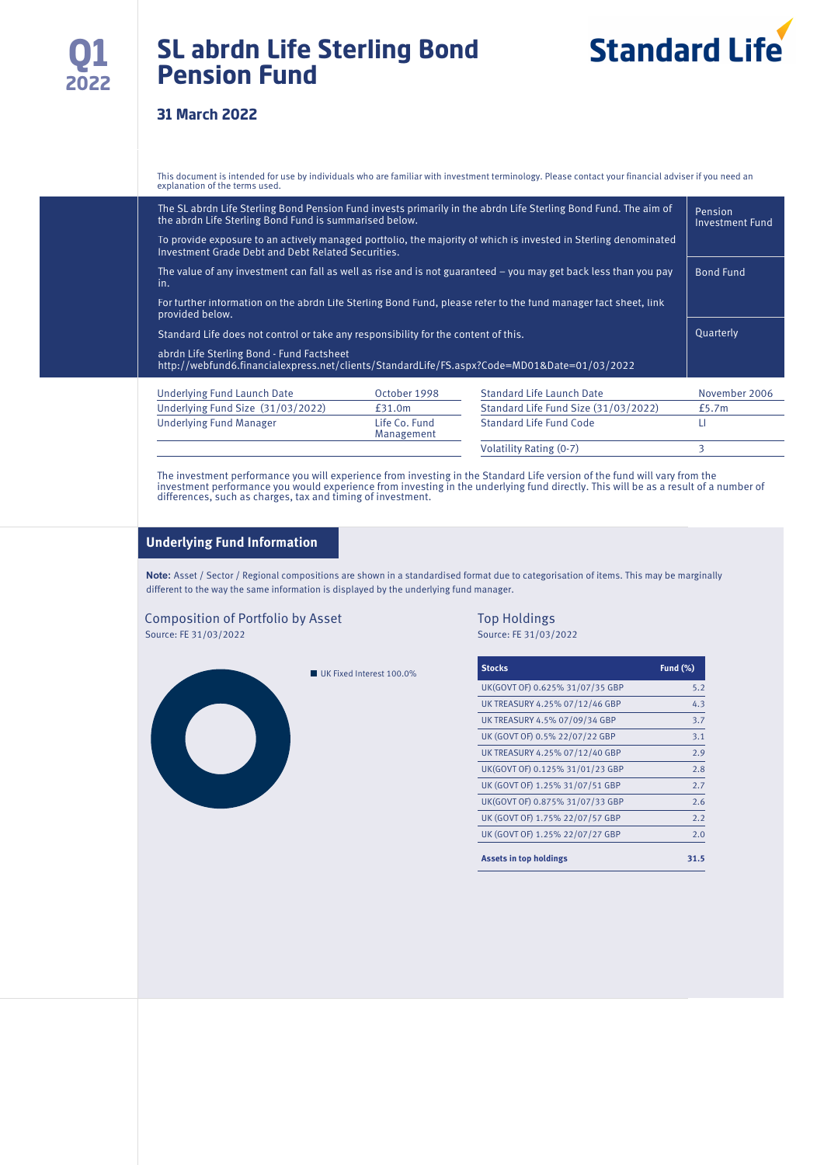## **SL abrdn Life Sterling Bond Pension Fund**

# **Standard Life**

#### **31 March 2022**

This document is intended for use by individuals who are familiar with investment terminology. Please contact your financial adviser if you need an explanation of the terms used.

| The SL abrdn Life Sterling Bond Pension Fund invests primarily in the abrdn Life Sterling Bond Fund. The aim of<br>the abrdn Life Sterling Bond Fund is summarised below. | Pension<br><b>Investment Fund</b> |                                      |               |  |
|---------------------------------------------------------------------------------------------------------------------------------------------------------------------------|-----------------------------------|--------------------------------------|---------------|--|
| To provide exposure to an actively managed portfolio, the majority of which is invested in Sterling denominated<br>Investment Grade Debt and Debt Related Securities.     |                                   |                                      |               |  |
| The value of any investment can fall as well as rise and is not guaranteed $-$ you may get back less than you pay<br>in.                                                  | <b>Bond Fund</b>                  |                                      |               |  |
| For further information on the abrdn Life Sterling Bond Fund, please refer to the fund manager fact sheet, link<br>provided below.                                        |                                   |                                      |               |  |
| Standard Life does not control or take any responsibility for the content of this.                                                                                        |                                   |                                      |               |  |
| abrdn Life Sterling Bond - Fund Factsheet<br>http://webfund6.financialexpress.net/clients/StandardLife/FS.aspx?Code=MD01&Date=01/03/2022                                  |                                   |                                      |               |  |
| <b>Underlying Fund Launch Date</b>                                                                                                                                        | October 1998                      | <b>Standard Life Launch Date</b>     | November 2006 |  |
| Underlying Fund Size (31/03/2022)                                                                                                                                         | £31.0m                            | Standard Life Fund Size (31/03/2022) | £5.7m         |  |
| <b>Underlying Fund Manager</b>                                                                                                                                            | Life Co. Fund<br>Management       | Standard Life Fund Code              | LI            |  |

The investment performance you will experience from investing in the Standard Life version of the fund will vary from the<br>investment performance you would experience from investing in the underlying fund directly. This wil differences, such as charges, tax and timing of investment.

#### **Underlying Fund Information**

**Note:** Asset / Sector / Regional compositions are shown in a standardised format due to categorisation of items. This may be marginally different to the way the same information is displayed by the underlying fund manager.

#### Composition of Portfolio by Asset Top Holdings<br>
Source: FE 31/03/2022<br>
Source: FE 31/03/2022 Source: FE 31/03/2022 Source: FE 31/03/2022

 $\begin{pmatrix} 1 \\ 1 \end{pmatrix}$ 

■ UK Fixed Interest 100.0%

| <b>Stocks</b>                   | <b>Fund (%)</b> |
|---------------------------------|-----------------|
| UK(GOVT OF) 0.625% 31/07/35 GBP | 5.2             |
| UK TREASURY 4.25% 07/12/46 GBP  | 4.3             |
| UK TREASURY 4.5% 07/09/34 GBP   | 3.7             |
| UK (GOVT OF) 0.5% 22/07/22 GBP  | 3.1             |
| UK TREASURY 4.25% 07/12/40 GBP  | 2.9             |
| UK(GOVT OF) 0.125% 31/01/23 GBP | 2.8             |
| UK (GOVT OF) 1.25% 31/07/51 GBP | 2.7             |
| UK(GOVT OF) 0.875% 31/07/33 GBP | 2.6             |
| UK (GOVT OF) 1.75% 22/07/57 GBP | 2.2             |
| UK (GOVT OF) 1.25% 22/07/27 GBP | 2.0             |
| <b>Assets in top holdings</b>   | 31.5            |

Volatility Rating (0-7) 3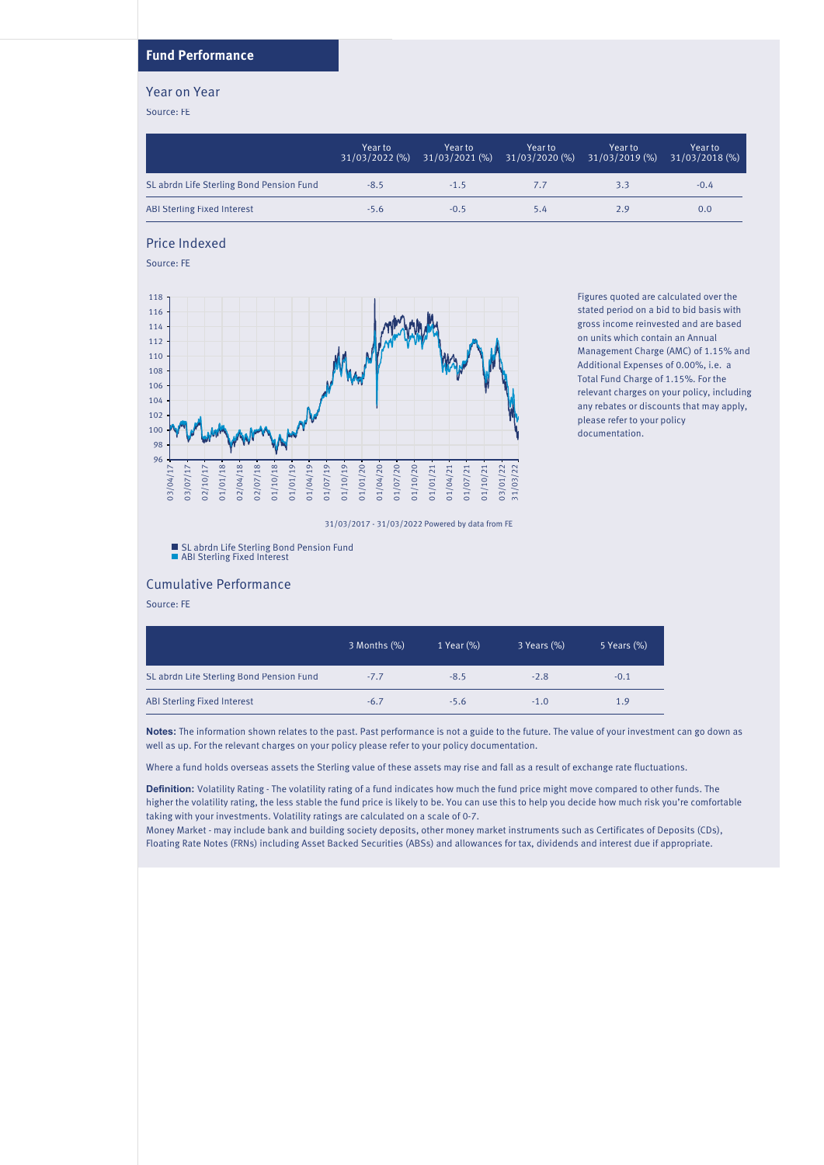#### **Fund Performance**

#### Year on Year

Source: FE

|                                          | Year to<br>31/03/2022 (%) | Year to | Year to<br>31/03/2021 (%) 31/03/2020 (%) | Year to<br>31/03/2019 (%) | Year to<br>$31/03/2018$ (%) |
|------------------------------------------|---------------------------|---------|------------------------------------------|---------------------------|-----------------------------|
| SL abrdn Life Sterling Bond Pension Fund | $-8.5$                    | $-1.5$  |                                          | 3.3                       | $-0.4$                      |
| ABI Sterling Fixed Interest              | $-5.6$                    | $-0.5$  | 5.4                                      | 2.9                       | 0.0                         |

#### Price Indexed

Source: FE



Figures quoted are calculated over the stated period on a bid to bid basis with gross income reinvested and are based on units which contain an Annual Management Charge (AMC) of 1.15% and Additional Expenses of 0.00%, i.e. a Total Fund Charge of 1.15%. For the relevant charges on your policy, including any rebates or discounts that may apply, please refer to your policy documentation.

31/03/2017 - 31/03/2022 Powered by data from FE

SL abrdn Life Sterling Bond Pension Fund ABI Sterling Fixed Interest

#### Cumulative Performance

Source: FE

|                                          | 3 Months (%) | 1 Year (%) | 3 Years (%) | 5 Years (%) |
|------------------------------------------|--------------|------------|-------------|-------------|
| SL abrdn Life Sterling Bond Pension Fund | $-7.7$       | $-8.5$     | $-2.8$      | $-0.1$      |
| <b>ABI Sterling Fixed Interest</b>       | $-6.7$       | $-5.6$     | $-1.0$      | 1.9         |

**Notes:** The information shown relates to the past. Past performance is not a guide to the future. The value of your investment can go down as well as up. For the relevant charges on your policy please refer to your policy documentation.

Where a fund holds overseas assets the Sterling value of these assets may rise and fall as a result of exchange rate fluctuations.

**Definition:** Volatility Rating - The volatility rating of a fund indicates how much the fund price might move compared to other funds. The higher the volatility rating, the less stable the fund price is likely to be. You can use this to help you decide how much risk you're comfortable taking with your investments. Volatility ratings are calculated on a scale of 0-7.

Money Market - may include bank and building society deposits, other money market instruments such as Certificates of Deposits (CDs), Floating Rate Notes (FRNs) including Asset Backed Securities (ABSs) and allowances for tax, dividends and interest due if appropriate.